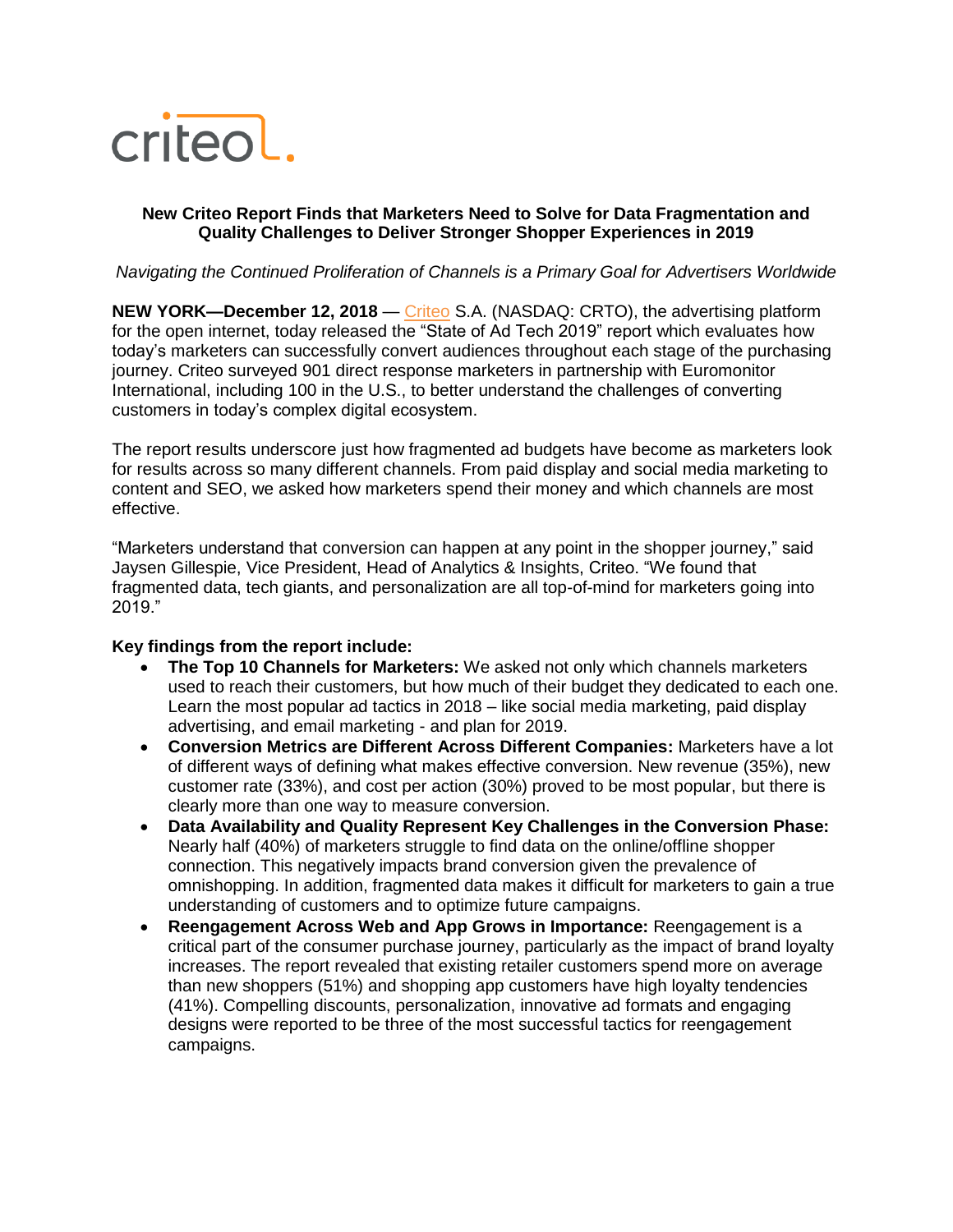

## **New Criteo Report Finds that Marketers Need to Solve for Data Fragmentation and Quality Challenges to Deliver Stronger Shopper Experiences in 2019**

### *Navigating the Continued Proliferation of Channels is a Primary Goal for Advertisers Worldwide*

**NEW YORK—December 12, 2018** — [Criteo](https://www.criteo.com/) S.A. (NASDAQ: CRTO), the advertising platform for the open internet, today released the "State of Ad Tech 2019" report which evaluates how today's marketers can successfully convert audiences throughout each stage of the purchasing journey. Criteo surveyed 901 direct response marketers in partnership with Euromonitor International, including 100 in the U.S., to better understand the challenges of converting customers in today's complex digital ecosystem.

The report results underscore just how fragmented ad budgets have become as marketers look for results across so many different channels. From paid display and social media marketing to content and SEO, we asked how marketers spend their money and which channels are most effective.

"Marketers understand that conversion can happen at any point in the shopper journey," said Jaysen Gillespie, Vice President, Head of Analytics & Insights, Criteo. "We found that fragmented data, tech giants, and personalization are all top-of-mind for marketers going into 2019."

# **Key findings from the report include:**

- **The Top 10 Channels for Marketers:** We asked not only which channels marketers used to reach their customers, but how much of their budget they dedicated to each one. Learn the most popular ad tactics in 2018 – like social media marketing, paid display advertising, and email marketing - and plan for 2019.
- **Conversion Metrics are Different Across Different Companies:** Marketers have a lot of different ways of defining what makes effective conversion. New revenue (35%), new customer rate (33%), and cost per action (30%) proved to be most popular, but there is clearly more than one way to measure conversion.
- **Data Availability and Quality Represent Key Challenges in the Conversion Phase:**  Nearly half (40%) of marketers struggle to find data on the online/offline shopper connection. This negatively impacts brand conversion given the prevalence of omnishopping. In addition, fragmented data makes it difficult for marketers to gain a true understanding of customers and to optimize future campaigns.
- **Reengagement Across Web and App Grows in Importance:** Reengagement is a critical part of the consumer purchase journey, particularly as the impact of brand loyalty increases. The report revealed that existing retailer customers spend more on average than new shoppers (51%) and shopping app customers have high loyalty tendencies (41%). Compelling discounts, personalization, innovative ad formats and engaging designs were reported to be three of the most successful tactics for reengagement campaigns.